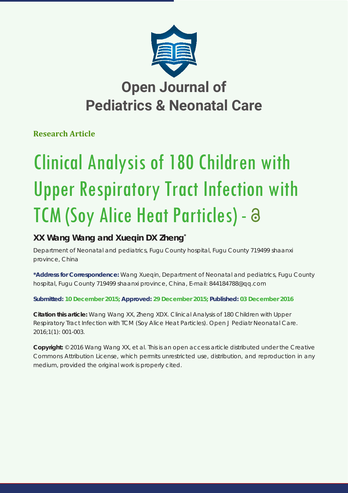

## **Open Journal of Pediatrics & Neonatal Care**

**Research Article**

# Clinical Analysis of 180 Children with Upper Respiratory Tract Infection with TCM (Soy Alice Heat Particles) - a

## **XX Wang Wang and Xueqin DX Zheng\***

*Department of Neonatal and pediatrics, Fugu County hospital, Fugu County 719499 shaanxi province, China*

**\*Address for Correspondence:** Wang Xueqin, Department of Neonatal and pediatrics, Fugu County hospital, Fugu County 719499 shaanxi province, China, E-mail: 844184788@qq.com

**Submitted: 10 December 2015; Approved: 29 December 2015; Published: 03 December 2016**

**Citation this article:** Wang Wang XX, Zheng XDX. Clinical Analysis of 180 Children with Upper Respiratory Tract Infection with TCM (Soy Alice Heat Particles). Open J Pediatr Neonatal Care. 2016;1(1): 001-003.

**Copyright:** © 2016 Wang Wang XX, et al. This is an open access article distributed under the Creative Commons Attribution License, which permits unrestricted use, distribution, and reproduction in any medium, provided the original work is properly cited.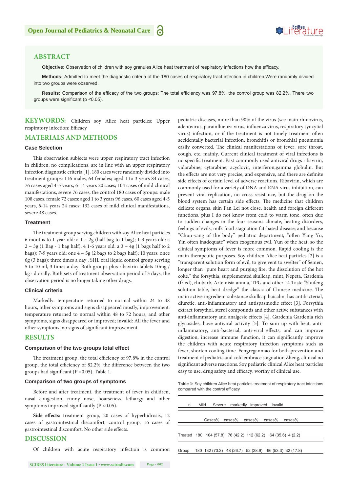## Soifles ture

#### **ABSTRACT**

**Objective:** Observation of children with soy granules Alice heat treatment of respiratory infections how the efficacy.

**Methods:** Admitted to meet the diagnostic criteria of the 180 cases of respiratory tract infection in children,Were randomly divided into two groups were observed.

**Results:** Comparison of the efficacy of the two groups: The total efficiency was 97.8%, the control group was 82.2%, There two groups were significant (p <0.05).

**KEYWORDS:** Children soy Alice heat particles; Upper respiratory infection; Efficacy

#### **MATERIALS AND METHODS**

#### **Case Selection**

This observation subjects were upper respiratory tract infection in children, no complications, are in line with an upper respiratory infection diagnostic criteria [1]. 180 cases were randomly divided into treatment groups: 116 males, 64 females; aged 1 to 3 years 84 cases, 76 cases aged 4-5 years, 6-14 years 20 cases; 104 cases of mild clinical manifestations, severe 76 cases; the control 180 cases of groups: male 108 cases, female 72 cases; aged 1 to 3 years 96 cases, 60 cases aged 4-5 years, 6-14 years 24 cases; 132 cases of mild clinical manifestations, severe 48 cases.

#### **Treatment**

The treatment group serving children with soy Alice heat particles 6 months to 1 year old: a  $1 \sim 2g$  (half bag to 1 bag); 1-3 years old: a  $2 \sim 3g$  (1 Bag - 1 bag half); 4 1-6 years old: a  $3 \sim 4g$  (1 bags half to 2 bags); 7-9 years old: one  $4 \sim 5g$  (2 bags to 2 bags half); 10 years: once 6g (3 bags); three times a day . SHL oral liquid control group serving 5 to 10 ml, 3 times a day. Both groups plus ribavirin tablets 10mg / kg · d orally. Both sets of treatment observation period of 3 days, the observation period is no longer taking other drugs.

#### **Clinical criteria**

Markedly: temperature returned to normal within 24 to 48 hours, other symptoms and signs disappeared mostly; improvement: temperature returned to normal within 48 to 72 hours, and other symptoms, signs disappeared or improved; invalid: All the fever and other symptoms, no signs of significant improvement.

#### **RESULTS**

#### **Comparison of the two groups total effect**

The treatment group, the total efficiency of 97.8% in the control group, the total efficiency of 82.2%, the difference between the two groups had significant (P <0.05), Table 1.

#### **Comparison of two groups of symptoms**

Before and after treatment, the treatment of fever in children, nasal congestion, runny nose, hoarseness, lethargy and other symptoms improved significantly (P < 0.05).

Side effects: treatment group, 20 cases of hyperhidrosis, 12 cases of gastrointestinal discomfort; control group, 16 cases of gastrointestinal discomfort. No other side effects.

#### **DISCUSSION**

Of children with acute respiratory infection is common

pediatric diseases, more than 90% of the virus (see main rhinovirus, adenovirus, parainfluenza virus, influenza virus, respiratory syncytial virus) infection, or if the treatment is not timely treatment often accidentally bacterial infection, bronchitis or bronchial pneumonia easily converted. The clinical manifestations of fever, sore throat, cough, etc. mainly. Current clinical treatment of viral infections is no specific treatment. Past commonly used antiviral drugs ribavirin, vidarabine, cytarabine, acyclovir, interferon,gamma globulin. But the effects are not very precise, and expensive, and there are definite side effects of certain level of adverse reactions. Ribavirin, which are commonly used for a variety of DNA and RNA virus inhibition, can prevent viral replication, no cross-resistance, but the drug on the blood system has certain side effects. The medicine that children delicate organs, skin Fan Lei not close, health and foreign different functions, plus I do not know from cold to warm tone, often due to sudden changes in the four seasons climate, heating disorders, feelings of evils, milk food stagnation fat-based disease; and because "Chun-yang of the body" pediatric department, "often Yang Yu, Yin often inadequate" when exogenous evil, Yun of the heat, so the clinical symptoms of fever is more common. Rapid cooling is the main therapeutic purposes. Soy children Alice heat particles [2] is a "transparent solution form of evil, to give vent to swelter" of Semen, longer than "pure heart and purging fire, the dissolution of the hot coke," the forsythia, supplemented skullcap, mint, Nepeta, Gardenia (fried), rhubarb, Artemisia annua, TPG and other 14 Taste "Shufeng solution table, heat dredge" the classic of Chinese medicine. The main active ingredient substance skullcap baicalin, has antibacterial, diuretic, anti-inflammatory and antispasmodic effect [3]. Forsythia extract forsythol, sterol compounds and other active substances with anti-inflammatory and analgesic effects [4]. Gardenia Gardenia rich glycosides, have antiviral activity [5]. To sum up with heat, antiinflammatory, anti-bacterial, anti-viral effects, and can improve digestion, increase immune function, it can significantly improve the children with acute respiratory infection symptoms such as fever, shorten cooling time. Fengreganmao for both prevention and treatment of pediatric and cold embrace stagnation Zheng, clinical no significant adverse reactions. Soy pediatric clinical Alice heat particles easy to use, drug safety and efficacy, worthy of clinical use.

**Table 1:** Soy children Alice heat particles treatment of respiratory tract infections compared with the control efficacy

| n. | Mild |  | Severe markedly improved invalid                              |                                                              |  |
|----|------|--|---------------------------------------------------------------|--------------------------------------------------------------|--|
|    |      |  | Cases% cases% cases% cases%                                   | $cases\%$                                                    |  |
|    |      |  | Treated 180 104 (57.8) 76 (42.2) 112 (62.2) 64 (35.6) 4 (2.2) |                                                              |  |
|    |      |  |                                                               | Group 180 132 (73.3) 48 (26.7) 52 (28.9) 96 (53.3) 32 (17.8) |  |